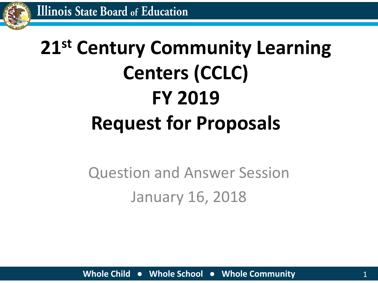

# **21st Century Community Learning Centers (CCLC) FY 2019 Request for Proposals**

#### Question and Answer Session January 16, 2018

**Whole Child ● Whole School ● Whole Community** 1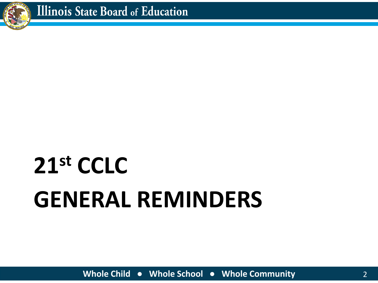

# **GENERAL REMINDERS 21st CCLC**

**Whole Child ● Whole School ● Whole Community** 2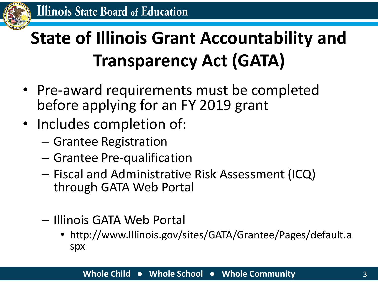

#### **State of Illinois Grant Accountability and Transparency Act (GATA)**

- Pre-award requirements must be completed before applying for an FY 2019 grant
- Includes completion of:
	- Grantee Registration
	- Grantee Pre-qualification
	- Fiscal and Administrative Risk Assessment (ICQ) through GATA Web Portal
	- Illinois GATA Web Portal
		- http://www.Illinois.gov/sites/GATA/Grantee/Pages/default.a spx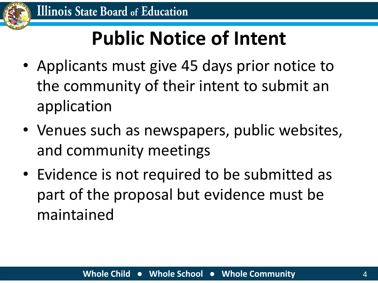

## **Public Notice of Intent**

- Applicants must give 45 days prior notice to the community of their intent to submit an application
- Venues such as newspapers, public websites, and community meetings
- Evidence is not required to be submitted as part of the proposal but evidence must be maintained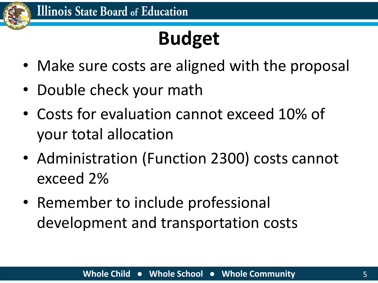

# **Budget**

- Make sure costs are aligned with the proposal
- Double check your math
- Costs for evaluation cannot exceed 10% of your total allocation
- Administration (Function 2300) costs cannot exceed 2%
- Remember to include professional development and transportation costs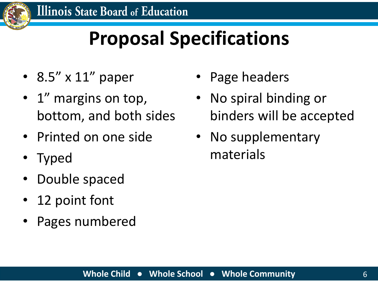

## **Proposal Specifications**

- 8.5" x 11" paper
- 1<sup>"</sup> margins on top, bottom, and both sides
- Printed on one side
- Typed
- Double spaced
- 12 point font
- Pages numbered
- Page headers
- No spiral binding or binders will be accepted
- No supplementary materials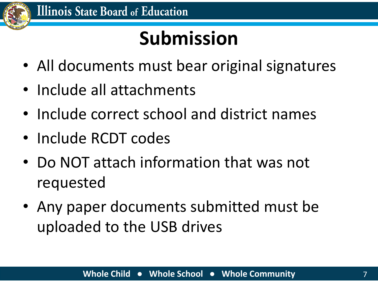

## **Submission**

- All documents must bear original signatures
- Include all attachments
- Include correct school and district names
- Include RCDT codes
- Do NOT attach information that was not requested
- Any paper documents submitted must be uploaded to the USB drives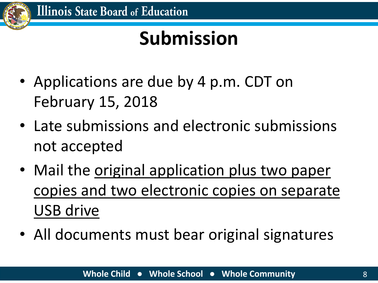

### **Submission**

- Applications are due by 4 p.m. CDT on February 15, 2018
- Late submissions and electronic submissions not accepted
- Mail the original application plus two paper copies and two electronic copies on separate USB drive
- All documents must bear original signatures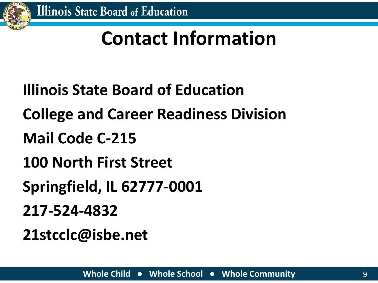

#### **Contact Information**

- **Illinois State Board of Education**
- **College and Career Readiness Division**
- **Mail Code C-215**
- **100 North First Street**
- **Springfield, IL 62777-0001**
- **217-524-4832**
- **21stcclc@isbe.net**